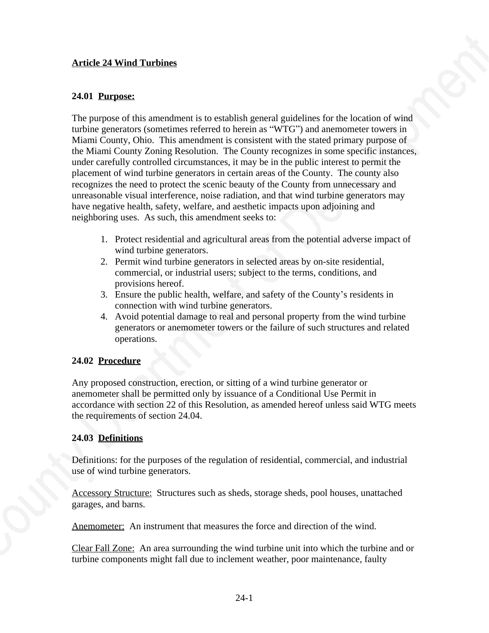#### **Article 24 Wind Turbines**

#### **24.01 Purpose:**

The purpose of this amendment is to establish general guidelines for the location of wind turbine generators (sometimes referred to herein as "WTG") and anemometer towers in Miami County, Ohio. This amendment is consistent with the stated primary purpose of the Miami County Zoning Resolution. The County recognizes in some specific instances, under carefully controlled circumstances, it may be in the public interest to permit the placement of wind turbine generators in certain areas of the County. The county also recognizes the need to protect the scenic beauty of the County from unnecessary and unreasonable visual interference, noise radiation, and that wind turbine generators may have negative health, safety, welfare, and aesthetic impacts upon adjoining and neighboring uses. As such, this amendment seeks to:

- 1. Protect residential and agricultural areas from the potential adverse impact of wind turbine generators.
- 2. Permit wind turbine generators in selected areas by on-site residential, commercial, or industrial users; subject to the terms, conditions, and provisions hereof.
- 3. Ensure the public health, welfare, and safety of the County's residents in connection with wind turbine generators.
- 4. Avoid potential damage to real and personal property from the wind turbine generators or anemometer towers or the failure of such structures and related operations.

## **24.02 Procedure**

Any proposed construction, erection, or sitting of a wind turbine generator or anemometer shall be permitted only by issuance of a Conditional Use Permit in accordance with section 22 of this Resolution, as amended hereof unless said WTG meets the requirements of section 24.04.

## **24.03 Definitions**

Definitions: for the purposes of the regulation of residential, commercial, and industrial use of wind turbine generators.

Accessory Structure: Structures such as sheds, storage sheds, pool houses, unattached garages, and barns.

Anemometer: An instrument that measures the force and direction of the wind.

Clear Fall Zone: An area surrounding the wind turbine unit into which the turbine and or turbine components might fall due to inclement weather, poor maintenance, faulty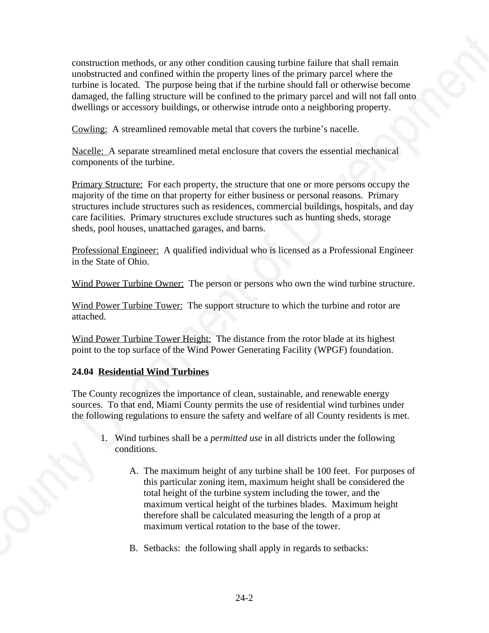construction methods, or any other condition causing turbine failure that shall remain unobstructed and confined within the property lines of the primary parcel where the turbine is located. The purpose being that if the turbine should fall or otherwise become damaged, the falling structure will be confined to the primary parcel and will not fall onto dwellings or accessory buildings, or otherwise intrude onto a neighboring property.

Cowling: A streamlined removable metal that covers the turbine's nacelle.

Nacelle: A separate streamlined metal enclosure that covers the essential mechanical components of the turbine.

Primary Structure: For each property, the structure that one or more persons occupy the majority of the time on that property for either business or personal reasons. Primary structures include structures such as residences, commercial buildings, hospitals, and day care facilities. Primary structures exclude structures such as hunting sheds, storage sheds, pool houses, unattached garages, and barns.

Professional Engineer: A qualified individual who is licensed as a Professional Engineer in the State of Ohio.

Wind Power Turbine Owner: The person or persons who own the wind turbine structure.

Wind Power Turbine Tower: The support structure to which the turbine and rotor are attached.

Wind Power Turbine Tower Height: The distance from the rotor blade at its highest point to the top surface of the Wind Power Generating Facility (WPGF) foundation.

# **24.04 Residential Wind Turbines**

The County recognizes the importance of clean, sustainable, and renewable energy sources. To that end, Miami County permits the use of residential wind turbines under the following regulations to ensure the safety and welfare of all County residents is met.

- 1. Wind turbines shall be a *permitted use* in all districts under the following conditions.
	- A. The maximum height of any turbine shall be 100 feet. For purposes of this particular zoning item, maximum height shall be considered the total height of the turbine system including the tower, and the maximum vertical height of the turbines blades. Maximum height therefore shall be calculated measuring the length of a prop at maximum vertical rotation to the base of the tower.
	- B. Setbacks: the following shall apply in regards to setbacks: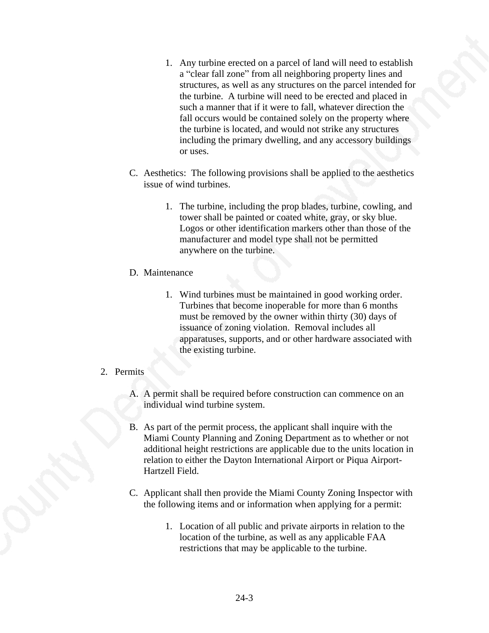- 1. Any turbine erected on a parcel of land will need to establish a "clear fall zone" from all neighboring property lines and structures, as well as any structures on the parcel intended for the turbine. A turbine will need to be erected and placed in such a manner that if it were to fall, whatever direction the fall occurs would be contained solely on the property where the turbine is located, and would not strike any structures including the primary dwelling, and any accessory buildings or uses.
- C. Aesthetics: The following provisions shall be applied to the aesthetics issue of wind turbines.
	- 1. The turbine, including the prop blades, turbine, cowling, and tower shall be painted or coated white, gray, or sky blue. Logos or other identification markers other than those of the manufacturer and model type shall not be permitted anywhere on the turbine.

#### D. Maintenance

1. Wind turbines must be maintained in good working order. Turbines that become inoperable for more than 6 months must be removed by the owner within thirty (30) days of issuance of zoning violation. Removal includes all apparatuses, supports, and or other hardware associated with the existing turbine.

## 2. Permits

- A. A permit shall be required before construction can commence on an individual wind turbine system.
- B. As part of the permit process, the applicant shall inquire with the Miami County Planning and Zoning Department as to whether or not additional height restrictions are applicable due to the units location in relation to either the Dayton International Airport or Piqua Airport-Hartzell Field.
- C. Applicant shall then provide the Miami County Zoning Inspector with the following items and or information when applying for a permit:
	- 1. Location of all public and private airports in relation to the location of the turbine, as well as any applicable FAA restrictions that may be applicable to the turbine.